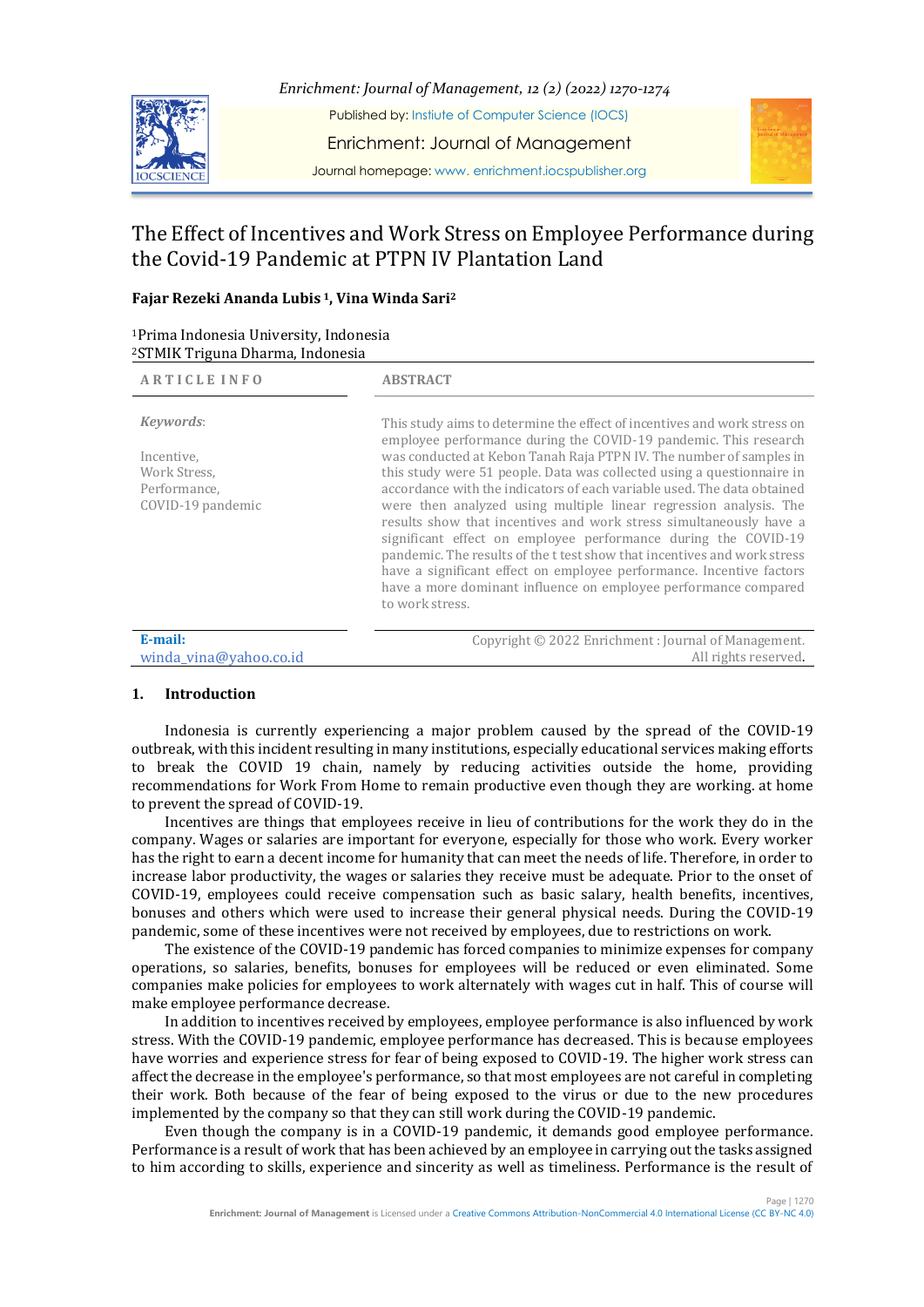

*Enrichment: Journal of Management, 12 (2) (2022) 1270-1274*

Published by: Instiute of Computer Science (IOCS)

Enrichment: Journal of Management

Journal homepage: www. enrichment.iocspublisher.org

# The Effect of Incentives and Work Stress on Employee Performance during the Covid-19 Pandemic at PTPN IV Plantation Land

# **Fajar Rezeki Ananda Lubis <sup>1</sup>, Vina Winda Sari<sup>2</sup>**

| <sup>1</sup> Prima Indonesia University, Indonesia |
|----------------------------------------------------|
| <sup>2</sup> STMIK Triguna Dharma, Indonesia       |

| <b>ARTICLE INFO</b>                                                          | <b>ABSTRACT</b>                                                                                                                                                                                                                                                                                                                                                                                                                                                                                                                                                                                                                                                                                                                                                                                                                 |
|------------------------------------------------------------------------------|---------------------------------------------------------------------------------------------------------------------------------------------------------------------------------------------------------------------------------------------------------------------------------------------------------------------------------------------------------------------------------------------------------------------------------------------------------------------------------------------------------------------------------------------------------------------------------------------------------------------------------------------------------------------------------------------------------------------------------------------------------------------------------------------------------------------------------|
| Keywords:<br>Incentive,<br>Work Stress,<br>Performance.<br>COVID-19 pandemic | This study aims to determine the effect of incentives and work stress on<br>employee performance during the COVID-19 pandemic. This research<br>was conducted at Kebon Tanah Raja PTPN IV. The number of samples in<br>this study were 51 people. Data was collected using a questionnaire in<br>accordance with the indicators of each variable used. The data obtained<br>were then analyzed using multiple linear regression analysis. The<br>results show that incentives and work stress simultaneously have a<br>significant effect on employee performance during the COVID-19<br>pandemic. The results of the t test show that incentives and work stress<br>have a significant effect on employee performance. Incentive factors<br>have a more dominant influence on employee performance compared<br>to work stress. |
| E-mail:<br>winda_vina@yahoo.co.id                                            | Copyright © 2022 Enrichment: Journal of Management.<br>All rights reserved.                                                                                                                                                                                                                                                                                                                                                                                                                                                                                                                                                                                                                                                                                                                                                     |

# **1. Introduction**

Indonesia is currently experiencing a major problem caused by the spread of the COVID-19 outbreak, with this incident resulting in many institutions, especially educational services making efforts to break the COVID 19 chain, namely by reducing activities outside the home, providing recommendations for Work From Home to remain productive even though they are working. at home to prevent the spread of COVID-19.

Incentives are things that employees receive in lieu of contributions for the work they do in the company. Wages or salaries are important for everyone, especially for those who work. Every worker has the right to earn a decent income for humanity that can meet the needs of life. Therefore, in order to increase labor productivity, the wages or salaries they receive must be adequate. Prior to the onset of COVID-19, employees could receive compensation such as basic salary, health benefits, incentives, bonuses and others which were used to increase their general physical needs. During the COVID-19 pandemic, some of these incentives were not received by employees, due to restrictions on work.

The existence of the COVID-19 pandemic has forced companies to minimize expenses for company operations, so salaries, benefits, bonuses for employees will be reduced or even eliminated. Some companies make policies for employees to work alternately with wages cut in half. This of course will make employee performance decrease.

In addition to incentives received by employees, employee performance is also influenced by work stress. With the COVID-19 pandemic, employee performance has decreased. This is because employees have worries and experience stress for fear of being exposed to COVID-19. The higher work stress can affect the decrease in the employee's performance, so that most employees are not careful in completing their work. Both because of the fear of being exposed to the virus or due to the new procedures implemented by the company so that they can still work during the COVID-19 pandemic.

Even though the company is in a COVID-19 pandemic, it demands good employee performance. Performance is a result of work that has been achieved by an employee in carrying out the tasks assigned to him according to skills, experience and sincerity as well as timeliness. Performance is the result of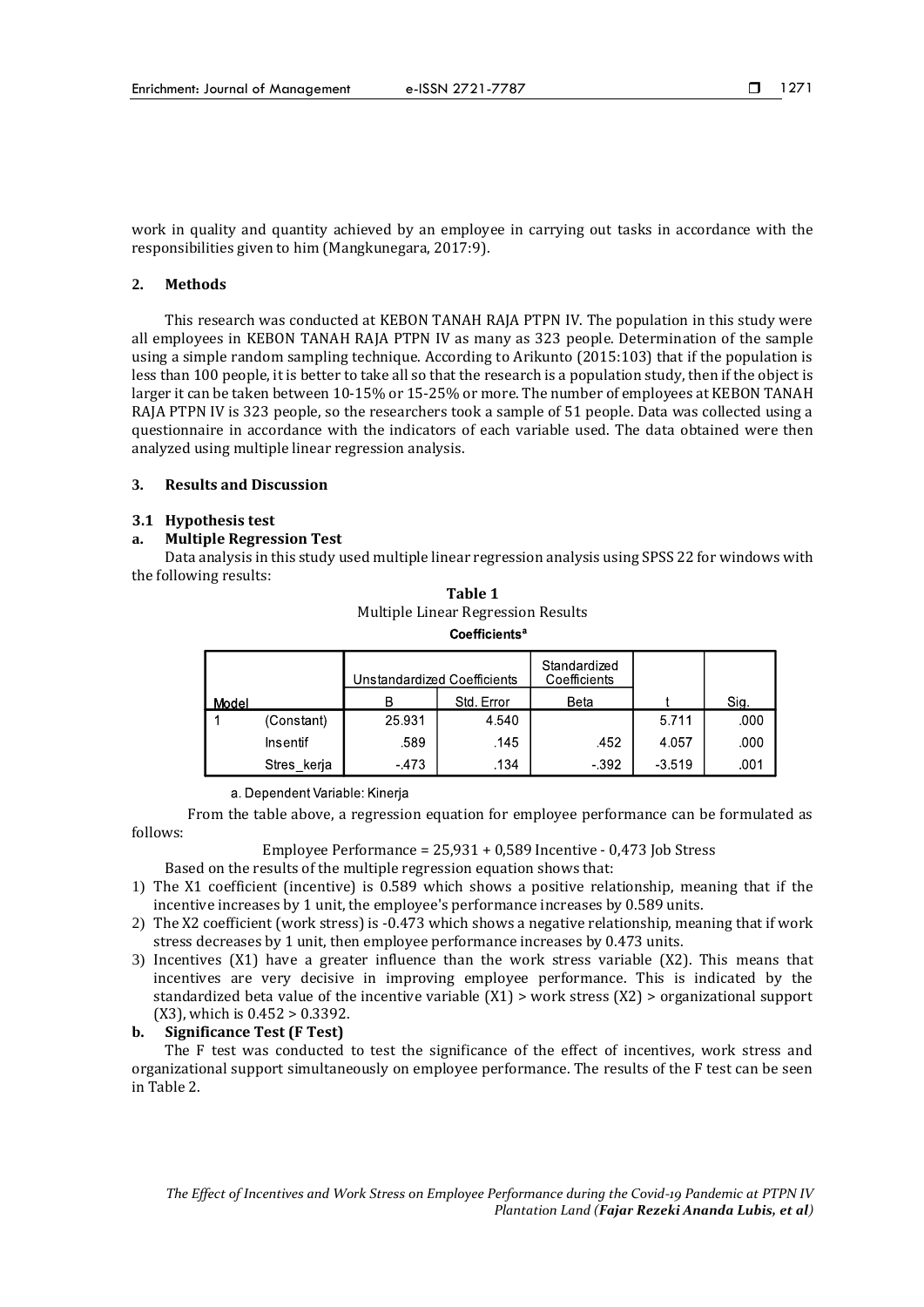work in quality and quantity achieved by an employee in carrying out tasks in accordance with the responsibilities given to him (Mangkunegara, 2017:9).

#### **2. Methods**

This research was conducted at KEBON TANAH RAJA PTPN IV. The population in this study were all employees in KEBON TANAH RAJA PTPN IV as many as 323 people. Determination of the sample using a simple random sampling technique. According to Arikunto (2015:103) that if the population is less than 100 people, it is better to take all so that the research is a population study, then if the object is larger it can be taken between 10-15% or 15-25% or more. The number of employees at KEBON TANAH RAJA PTPN IV is 323 people, so the researchers took a sample of 51 people. Data was collected using a questionnaire in accordance with the indicators of each variable used. The data obtained were then analyzed using multiple linear regression analysis.

#### **3. Results and Discussion**

#### **3.1 Hypothesis test**

#### **a. Multiple Regression Test**

Data analysis in this study used multiple linear regression analysis using SPSS 22 for windows with the following results:

| Table 1                            |  |  |  |  |
|------------------------------------|--|--|--|--|
| Multiple Linear Regression Results |  |  |  |  |
| Coefficients <sup>a</sup>          |  |  |  |  |

|       |                 | Unstandardized Coefficients |            | Standardized<br>Coefficients |          |      |
|-------|-----------------|-----------------------------|------------|------------------------------|----------|------|
| Model |                 |                             | Std. Error | Beta                         |          | Sig. |
|       | (Constant)      | 25.931                      | 4.540      |                              | 5.711    | .000 |
|       | <b>Insentif</b> | .589                        | .145       | .452                         | 4.057    | .000 |
|       | Stres kerja     | $-473$                      | .134       | $-392$                       | $-3.519$ | .001 |

a. Dependent Variable: Kinerja

From the table above, a regression equation for employee performance can be formulated as follows:

Employee Performance = 25,931 + 0,589 Incentive - 0,473 Job Stress

Based on the results of the multiple regression equation shows that:

- 1) The X1 coefficient (incentive) is 0.589 which shows a positive relationship, meaning that if the incentive increases by 1 unit, the employee's performance increases by 0.589 units.
- 2) The X2 coefficient (work stress) is -0.473 which shows a negative relationship, meaning that if work stress decreases by 1 unit, then employee performance increases by 0.473 units.
- 3) Incentives (X1) have a greater influence than the work stress variable (X2). This means that incentives are very decisive in improving employee performance. This is indicated by the standardized beta value of the incentive variable  $(X1)$  > work stress  $(X2)$  > organizational support (X3), which is 0.452 > 0.3392.

# **b. Significance Test (F Test)**

The F test was conducted to test the significance of the effect of incentives, work stress and organizational support simultaneously on employee performance. The results of the F test can be seen in Table 2.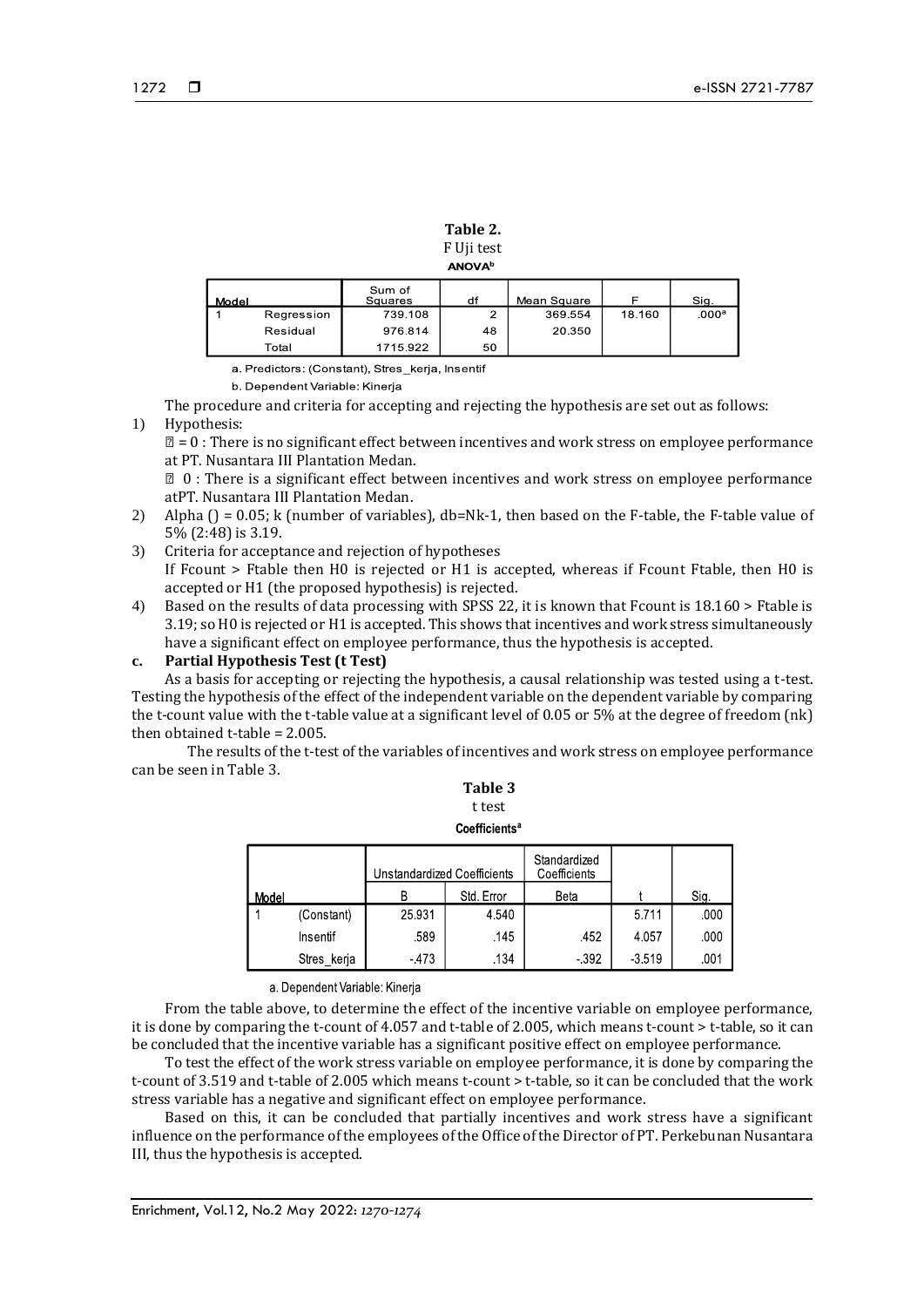|                           | Table 2.   |  |  |  |
|---------------------------|------------|--|--|--|
|                           | F Uji test |  |  |  |
| <b>ANOVA</b> <sup>b</sup> |            |  |  |  |

| Model |            | Sum of<br>Squares | df | Mean Square |        | Sig.              |
|-------|------------|-------------------|----|-------------|--------|-------------------|
|       | Regression | 739.108           | ົ  | 369.554     | 18.160 | .000 <sup>a</sup> |
|       | Residual   | 976.814           | 48 | 20.350      |        |                   |
|       | Total      | 1715.922          | 50 |             |        |                   |

a. Predictors: (Constant), Stres\_kerja, Insentif

b. Dependent Variable: Kinerja

The procedure and criteria for accepting and rejecting the hypothesis are set out as follows:

#### 1) Hypothesis:

 $\mathbb{Z} = 0$ : There is no significant effect between incentives and work stress on employee performance at PT. Nusantara III Plantation Medan.

️ 0 : There is a significant effect between incentives and work stress on employee performance atPT. Nusantara III Plantation Medan.

- 2) Alpha ( $j = 0.05$ ; k (number of variables), db=Nk-1, then based on the F-table, the F-table value of 5% (2:48) is 3.19.
- 3) Criteria for acceptance and rejection of hypotheses If Fcount > Ftable then H0 is rejected or H1 is accepted, whereas if Fcount Ftable, then H0 is accepted or H1 (the proposed hypothesis) is rejected.
- 4) Based on the results of data processing with SPSS 22, it is known that Fcount is 18.160 > Ftable is 3.19; so H0 is rejected or H1 is accepted. This shows that incentives and work stress simultaneously have a significant effect on employee performance, thus the hypothesis is accepted.

# **c. Partial Hypothesis Test (t Test)**

As a basis for accepting or rejecting the hypothesis, a causal relationship was tested using a t-test. Testing the hypothesis of the effect of the independent variable on the dependent variable by comparing the t-count value with the t-table value at a significant level of 0.05 or 5% at the degree of freedom (nk) then obtained t-table = 2.005.

The results of the t-test of the variables of incentives and work stress on employee performance can be seen in Table 3.

**Table 3** t test

| <b>Coefficients<sup>a</sup></b> |  |  |
|---------------------------------|--|--|
|                                 |  |  |

|       |             | Unstandardized Coefficients |            | Standardized<br>Coefficients |          |      |
|-------|-------------|-----------------------------|------------|------------------------------|----------|------|
| Model |             | R                           | Std. Error | Beta                         |          | Sig. |
|       | (Constant)  | 25.931                      | 4.540      |                              | 5.711    | .000 |
|       | Insentif    | .589                        | .145       | .452                         | 4.057    | .000 |
|       | Stres kerja | $-473$                      | .134       | $-392$                       | $-3.519$ | .001 |

#### a. Dependent Variable: Kinerja

From the table above, to determine the effect of the incentive variable on employee performance, it is done by comparing the t-count of 4.057 and t-table of 2.005, which means t-count > t-table, so it can be concluded that the incentive variable has a significant positive effect on employee performance.

To test the effect of the work stress variable on employee performance, it is done by comparing the t-count of 3.519 and t-table of 2.005 which means t-count > t-table, so it can be concluded that the work stress variable has a negative and significant effect on employee performance.

Based on this, it can be concluded that partially incentives and work stress have a significant influence on the performance of the employees of the Office of the Director of PT. Perkebunan Nusantara III, thus the hypothesis is accepted.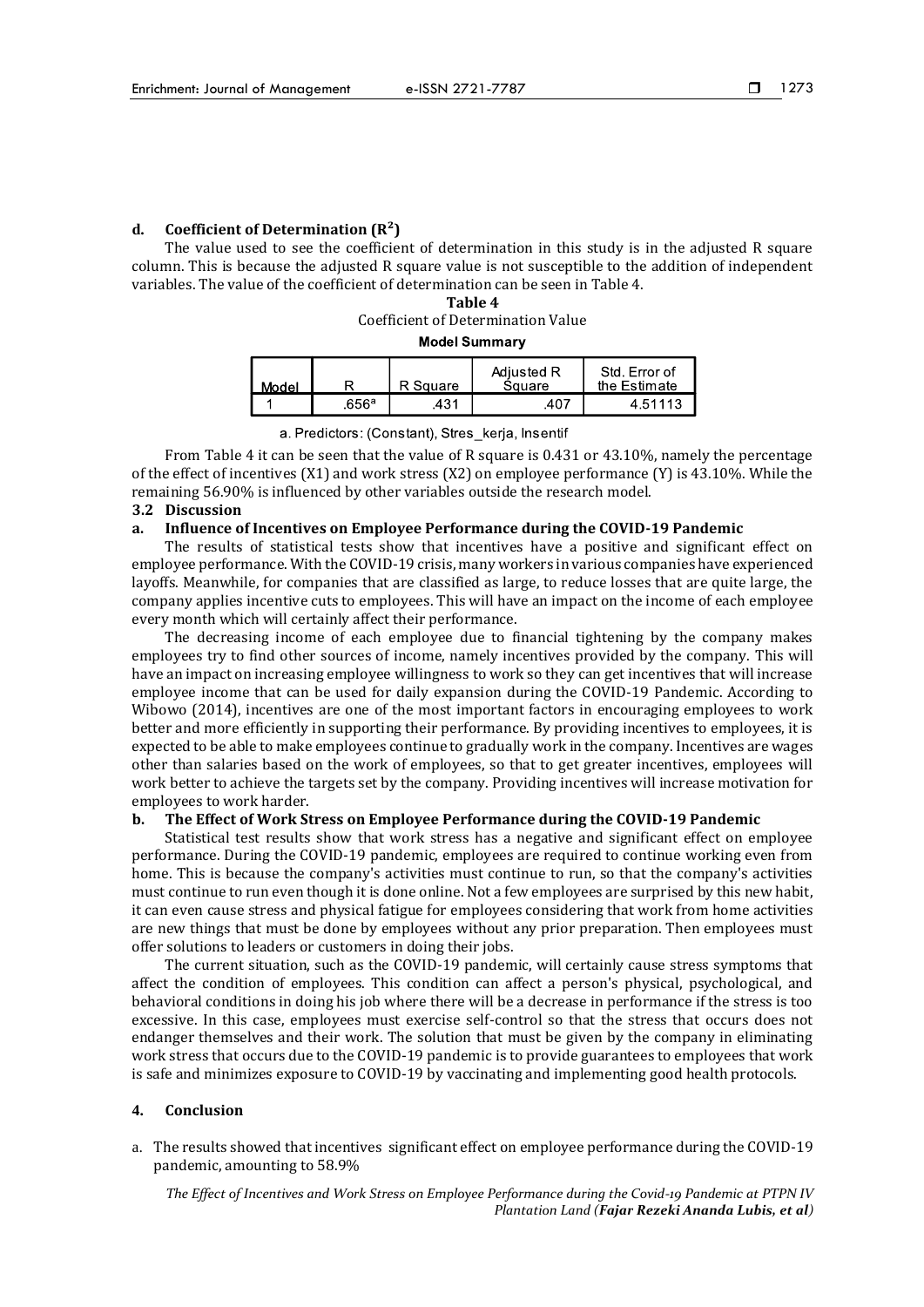#### **d. Coefficient of Determination (R²)**

The value used to see the coefficient of determination in this study is in the adjusted R square column. This is because the adjusted R square value is not susceptible to the addition of independent variables. The value of the coefficient of determination can be seen in Table 4.

# **Table 4** Coefficient of Determination Value

# **Model Summary**

| Model |       | R Square | Adjusted R<br>Sauare | Std. Error of<br>the Estimate |
|-------|-------|----------|----------------------|-------------------------------|
|       | .656ª | 431      | 407                  | 4.51113                       |

a. Predictors: (Constant), Stres\_kerja, Insentif

From Table 4 it can be seen that the value of R square is 0.431 or 43.10%, namely the percentage of the effect of incentives (X1) and work stress (X2) on employee performance (Y) is 43.10%. While the remaining 56.90% is influenced by other variables outside the research model.

#### **3.2 Discussion**

#### **a. Influence of Incentives on Employee Performance during the COVID-19 Pandemic**

The results of statistical tests show that incentives have a positive and significant effect on employee performance. With the COVID-19 crisis, many workers in various companies have experienced layoffs. Meanwhile, for companies that are classified as large, to reduce losses that are quite large, the company applies incentive cuts to employees. This will have an impact on the income of each employee every month which will certainly affect their performance.

The decreasing income of each employee due to financial tightening by the company makes employees try to find other sources of income, namely incentives provided by the company. This will have an impact on increasing employee willingness to work so they can get incentives that will increase employee income that can be used for daily expansion during the COVID-19 Pandemic. According to Wibowo (2014), incentives are one of the most important factors in encouraging employees to work better and more efficiently in supporting their performance. By providing incentives to employees, it is expected to be able to make employees continue to gradually work in the company. Incentives are wages other than salaries based on the work of employees, so that to get greater incentives, employees will work better to achieve the targets set by the company. Providing incentives will increase motivation for employees to work harder.

#### **b. The Effect of Work Stress on Employee Performance during the COVID-19 Pandemic**

Statistical test results show that work stress has a negative and significant effect on employee performance. During the COVID-19 pandemic, employees are required to continue working even from home. This is because the company's activities must continue to run, so that the company's activities must continue to run even though it is done online. Not a few employees are surprised by this new habit, it can even cause stress and physical fatigue for employees considering that work from home activities are new things that must be done by employees without any prior preparation. Then employees must offer solutions to leaders or customers in doing their jobs.

The current situation, such as the COVID-19 pandemic, will certainly cause stress symptoms that affect the condition of employees. This condition can affect a person's physical, psychological, and behavioral conditions in doing his job where there will be a decrease in performance if the stress is too excessive. In this case, employees must exercise self-control so that the stress that occurs does not endanger themselves and their work. The solution that must be given by the company in eliminating work stress that occurs due to the COVID-19 pandemic is to provide guarantees to employees that work is safe and minimizes exposure to COVID-19 by vaccinating and implementing good health protocols.

#### **4. Conclusion**

a. The results showed that incentives significant effect on employee performance during the COVID-19 pandemic, amounting to 58.9%

*The Effect of Incentives and Work Stress on Employee Performance during the Covid-19 Pandemic at PTPN IV Plantation Land (Fajar Rezeki Ananda Lubis, et al)*